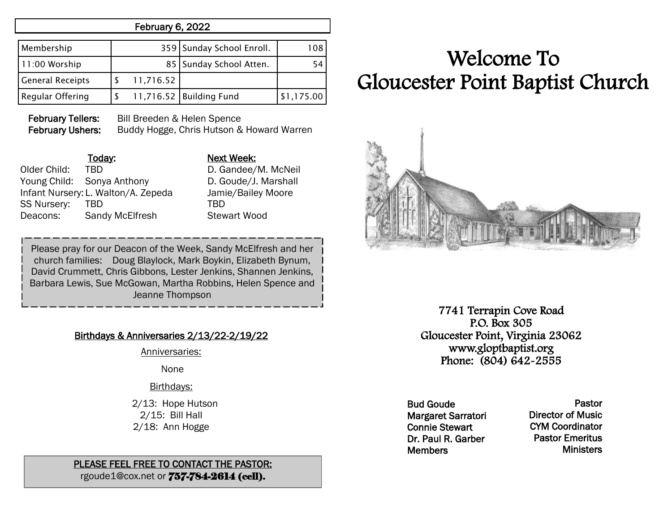## February 6, 2022

| Membership              |           | 359 Sunday School Enroll. | 108        |
|-------------------------|-----------|---------------------------|------------|
| 11:00 Worship           |           | 85   Sunday School Atten. | 54         |
| <b>General Receipts</b> | 11,716.52 |                           |            |
| <b>Regular Offering</b> |           | 11,716.52 Building Fund   | \$1,175.00 |

February Tellers: Bill Breeden & Helen Spence February Ushers: Buddy Hogge, Chris Hutson & Howard Warren

| мех  |
|------|
| D. G |
| D. G |
| Jam  |
| TBD  |
| Stev |
|      |

Next Week:

D. Gandee/M. McNeil D. Goude/J. Marshall Jamie/Bailey Moore Stewart Wood

Please pray for our Deacon of the Week, Sandy McElfresh and her church families: Doug Blaylock, Mark Boykin, Elizabeth Bynum, David Crummett, Chris Gibbons, Lester Jenkins, Shannen Jenkins, Barbara Lewis, Sue McGowan, Martha Robbins, Helen Spence and Jeanne Thompson

## Birthdays & Anniversaries 2/13/22-2/19/22

Anniversaries:

None

Birthdays:

 2/13: Hope Hutson 2/15: Bill Hall 2/18: Ann Hogge

#### PLEASE FEEL FREE TO CONTACT THE PASTOR: rgoude1@cox.net or 757-784-2614 (cell).

# Welcome To Gloucester Point Baptist Church



7741 Terrapin Cove Road P.O. Box 305 Gloucester Point, Virginia 23062 www.gloptbaptist.org Phone: (804) 642-2555

Bud Goude Margaret Sarratori Connie Stewart Dr. Paul R. Garber **Members** 

Pastor Director of Music CYM Coordinator Pastor Emeritus **Ministers**